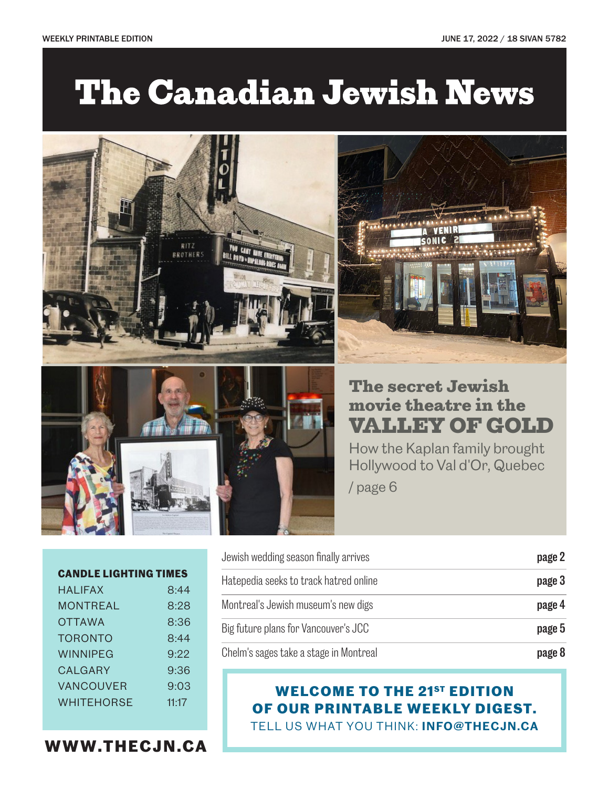# **The Canadian Jewish News**





## movie theatre in the VALLEY OF GOLD

VENIR SONIC 2

How the Kaplan family brought Hollywood to Val d'Or, Quebec

/ page 6

| <b>CANDLE LIGHTING TIMES</b> |       |
|------------------------------|-------|
| <b>HAI IFAX</b>              | 8:44  |
| MONTREAL                     | 8:28  |
| <b>OTTAWA</b>                | 8:36  |
| <b>TORONTO</b>               | 8.44  |
| WINNIPFG                     | 9.22  |
| CALGARY                      | 9:36  |
| <b>VANCOUVER</b>             | 9:03  |
| <b>WHITEHORSE</b>            | 11.17 |

Jewish wedding season finally arrives **blue contains the contact of the season** finally arrives Hatepedia seeks to track hatred online page 3 Montreal's Jewish museum's new digs **page 4** Big future plans for Vancouver's JCC **page 5** Chelm's sages take a stage in Montreal page 8

#### **WELCOME TO THE 21ST EDITION OF OUR PRINTABLE WEEKLY DIGEST.**  TELL US WHAT YOU THINK: **INFO@THECJN.CA**

**WWW.THECJN.CA**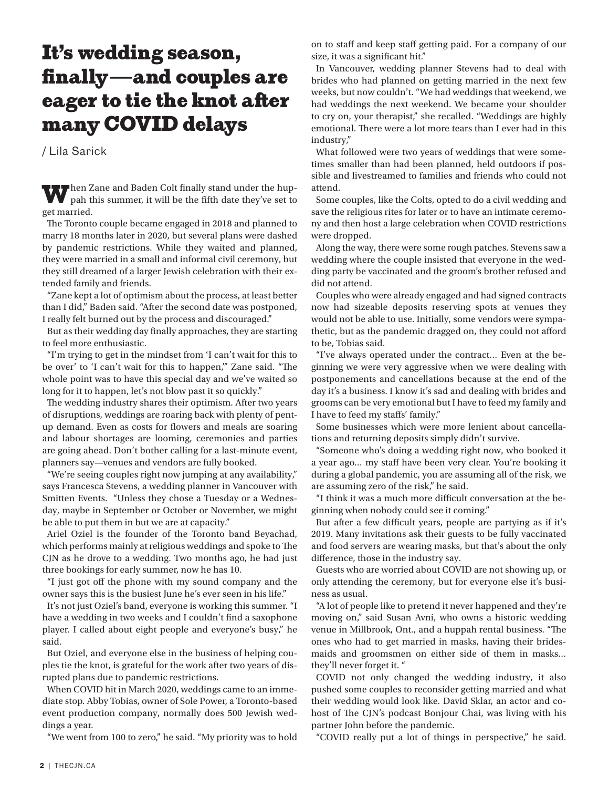#### It's wedding season, finally—and couples are eager to tie the knot after many COVID delays

/ Lila Sarick

When Zane and Baden Colt finally stand under the huppah this summer, it will be the fifth date they've set to get married.

The Toronto couple became engaged in 2018 and planned to marry 18 months later in 2020, but several plans were dashed by pandemic restrictions. While they waited and planned, they were married in a small and informal civil ceremony, but they still dreamed of a larger Jewish celebration with their extended family and friends.

"Zane kept a lot of optimism about the process, at least better than I did," Baden said. "After the second date was postponed, I really felt burned out by the process and discouraged."

But as their wedding day finally approaches, they are starting to feel more enthusiastic.

"I'm trying to get in the mindset from 'I can't wait for this to be over' to 'I can't wait for this to happen,'" Zane said. "The whole point was to have this special day and we've waited so long for it to happen, let's not blow past it so quickly."

The wedding industry shares their optimism. After two years of disruptions, weddings are roaring back with plenty of pentup demand. Even as costs for flowers and meals are soaring and labour shortages are looming, ceremonies and parties are going ahead. Don't bother calling for a last-minute event, planners say—venues and vendors are fully booked.

"We're seeing couples right now jumping at any availability," says Francesca Stevens, a wedding planner in Vancouver with Smitten Events. "Unless they chose a Tuesday or a Wednesday, maybe in September or October or November, we might be able to put them in but we are at capacity."

Ariel Oziel is the founder of the Toronto band Beyachad, which performs mainly at religious weddings and spoke to The CJN as he drove to a wedding. Two months ago, he had just three bookings for early summer, now he has 10.

"I just got off the phone with my sound company and the owner says this is the busiest June he's ever seen in his life."

It's not just Oziel's band, everyone is working this summer. "I have a wedding in two weeks and I couldn't find a saxophone player. I called about eight people and everyone's busy," he said.

But Oziel, and everyone else in the business of helping couples tie the knot, is grateful for the work after two years of disrupted plans due to pandemic restrictions.

When COVID hit in March 2020, weddings came to an immediate stop. Abby Tobias, owner of Sole Power, a Toronto-based event production company, normally does 500 Jewish weddings a year.

"We went from 100 to zero," he said. "My priority was to hold

on to staff and keep staff getting paid. For a company of our size, it was a significant hit."

In Vancouver, wedding planner Stevens had to deal with brides who had planned on getting married in the next few weeks, but now couldn't. "We had weddings that weekend, we had weddings the next weekend. We became your shoulder to cry on, your therapist," she recalled. "Weddings are highly emotional. There were a lot more tears than I ever had in this industry,"

What followed were two years of weddings that were sometimes smaller than had been planned, held outdoors if possible and livestreamed to families and friends who could not attend.

Some couples, like the Colts, opted to do a civil wedding and save the religious rites for later or to have an intimate ceremony and then host a large celebration when COVID restrictions were dropped.

Along the way, there were some rough patches. Stevens saw a wedding where the couple insisted that everyone in the wedding party be vaccinated and the groom's brother refused and did not attend.

Couples who were already engaged and had signed contracts now had sizeable deposits reserving spots at venues they would not be able to use. Initially, some vendors were sympathetic, but as the pandemic dragged on, they could not afford to be, Tobias said.

"I've always operated under the contract… Even at the beginning we were very aggressive when we were dealing with postponements and cancellations because at the end of the day it's a business. I know it's sad and dealing with brides and grooms can be very emotional but I have to feed my family and I have to feed my staffs' family."

Some businesses which were more lenient about cancellations and returning deposits simply didn't survive.

"Someone who's doing a wedding right now, who booked it a year ago… my staff have been very clear. You're booking it during a global pandemic, you are assuming all of the risk, we are assuming zero of the risk," he said.

"I think it was a much more difficult conversation at the beginning when nobody could see it coming."

But after a few difficult years, people are partying as if it's 2019. Many invitations ask their guests to be fully vaccinated and food servers are wearing masks, but that's about the only difference, those in the industry say.

Guests who are worried about COVID are not showing up, or only attending the ceremony, but for everyone else it's business as usual.

"A lot of people like to pretend it never happened and they're moving on," said Susan Avni, who owns a historic wedding venue in Millbrook, Ont., and a huppah rental business. "The ones who had to get married in masks, having their bridesmaids and groomsmen on either side of them in masks… they'll never forget it. "

COVID not only changed the wedding industry, it also pushed some couples to reconsider getting married and what their wedding would look like. David Sklar, an actor and cohost of The CJN's podcast Bonjour Chai, was living with his partner John before the pandemic.

"COVID really put a lot of things in perspective," he said.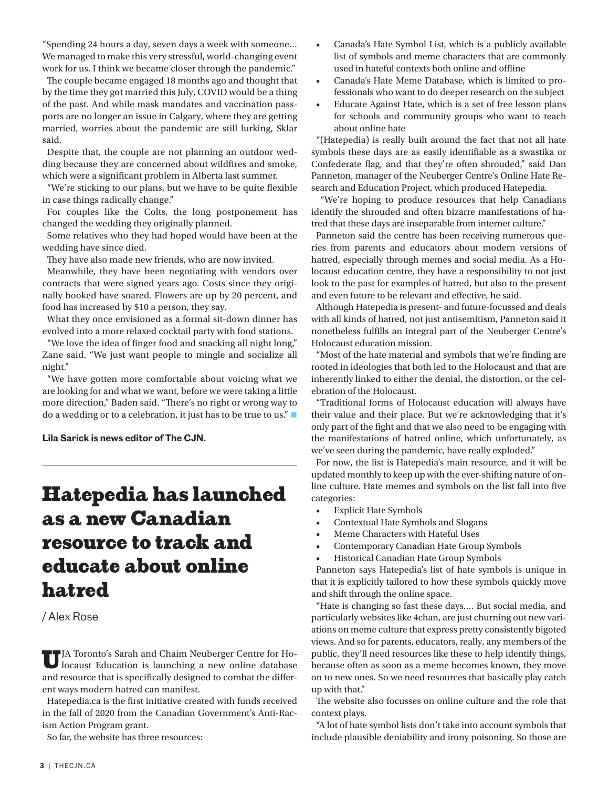"Spending 24 hours a day, seven days a week with someone… We managed to make this very stressful, world-changing event work for us. I think we became closer through the pandemic."

The couple became engaged 18 months ago and thought that by the time they got married this July, COVID would be a thing of the past. And while mask mandates and vaccination passports are no longer an issue in Calgary, where they are getting married, worries about the pandemic are still lurking, Sklar said.

Despite that, the couple are not planning an outdoor wedding because they are concerned about wildfires and smoke, which were a significant problem in Alberta last summer.

"We're sticking to our plans, but we have to be quite flexible in case things radically change."

For couples like the Colts, the long postponement has changed the wedding they originally planned.

Some relatives who they had hoped would have been at the wedding have since died.

They have also made new friends, who are now invited.

Meanwhile, they have been negotiating with vendors over contracts that were signed years ago. Costs since they originally booked have soared. Flowers are up by 20 percent, and food has increased by \$10 a person, they say.

What they once envisioned as a formal sit-down dinner has evolved into a more relaxed cocktail party with food stations.

"We love the idea of finger food and snacking all night long," Zane said. "We just want people to mingle and socialize all night."

"We have gotten more comfortable about voicing what we are looking for and what we want, before we were taking a little more direction," Baden said. "There's no right or wrong way to do a wedding or to a celebration, it just has to be true to us." $\blacksquare$ 

**Lila Sarick is news editor of The CJN.**

### Hatepedia has launched as a new Canadian resource to track and educate about online hatred

/ Alex Rose

UJA Toronto's Sarah and Chaim Neuberger Centre for Ho-locaust Education is launching a new online database and resource that is specifically designed to combat the different ways modern hatred can manifest.

Hatepedia.ca is the first initiative created with funds received in the fall of 2020 from the Canadian Government's Anti-Racism Action Program grant.

So far, the website has three resources:

- Canada's Hate Symbol List, which is a publicly available list of symbols and meme characters that are commonly used in hateful contexts both online and offline
- Canada's Hate Meme Database, which is limited to professionals who want to do deeper research on the subject
- Educate Against Hate, which is a set of free lesson plans for schools and community groups who want to teach about online hate

"(Hatepedia) is really built around the fact that not all hate symbols these days are as easily identifiable as a swastika or Confederate flag, and that they're often shrouded," said Dan Panneton, manager of the Neuberger Centre's Online Hate Research and Education Project, which produced Hatepedia.

 "We're hoping to produce resources that help Canadians identify the shrouded and often bizarre manifestations of hatred that these days are inseparable from internet culture."

Panneton said the centre has been receiving numerous queries from parents and educators about modern versions of hatred, especially through memes and social media. As a Holocaust education centre, they have a responsibility to not just look to the past for examples of hatred, but also to the present and even future to be relevant and effective, he said.

Although Hatepedia is present- and future-focussed and deals with all kinds of hatred, not just antisemitism, Panneton said it nonetheless fulfills an integral part of the Neuberger Centre's Holocaust education mission.

"Most of the hate material and symbols that we're finding are rooted in ideologies that both led to the Holocaust and that are inherently linked to either the denial, the distortion, or the celebration of the Holocaust.

"Traditional forms of Holocaust education will always have their value and their place. But we're acknowledging that it's only part of the fight and that we also need to be engaging with the manifestations of hatred online, which unfortunately, as we've seen during the pandemic, have really exploded."

For now, the list is Hatepedia's main resource, and it will be updated monthly to keep up with the ever-shifting nature of online culture. Hate memes and symbols on the list fall into five categories:

- Explicit Hate Symbols
- Contextual Hate Symbols and Slogans
- Meme Characters with Hateful Uses
- Contemporary Canadian Hate Group Symbols
- Historical Canadian Hate Group Symbols

Panneton says Hatepedia's list of hate symbols is unique in that it is explicitly tailored to how these symbols quickly move and shift through the online space.

"Hate is changing so fast these days…. But social media, and particularly websites like 4chan, are just churning out new variations on meme culture that express pretty consistently bigoted views. And so for parents, educators, really, any members of the public, they'll need resources like these to help identify things, because often as soon as a meme becomes known, they move on to new ones. So we need resources that basically play catch up with that."

The website also focusses on online culture and the role that context plays.

"A lot of hate symbol lists don't take into account symbols that include plausible deniability and irony poisoning. So those are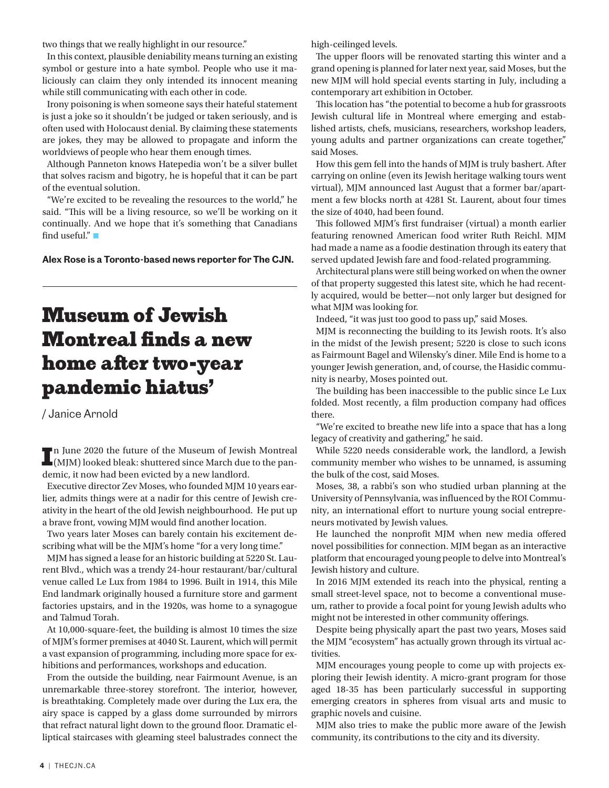two things that we really highlight in our resource."

In this context, plausible deniability means turning an existing symbol or gesture into a hate symbol. People who use it maliciously can claim they only intended its innocent meaning while still communicating with each other in code.

Irony poisoning is when someone says their hateful statement is just a joke so it shouldn't be judged or taken seriously, and is often used with Holocaust denial. By claiming these statements are jokes, they may be allowed to propagate and inform the worldviews of people who hear them enough times.

Although Panneton knows Hatepedia won't be a silver bullet that solves racism and bigotry, he is hopeful that it can be part of the eventual solution.

"We're excited to be revealing the resources to the world," he said. "This will be a living resource, so we'll be working on it continually. And we hope that it's something that Canadians find useful." $\blacksquare$ 

**Alex Rose is a Toronto-based news reporter for The CJN.**

#### Museum of Jewish Montreal finds a new home after two-year pandemic hiatus'

/ Janice Arnold

In June 2020 the future of the Museum of Jewish Montreal (MJM) looked bleak: shuttered since March due to the pann June 2020 the future of the Museum of Jewish Montreal demic, it now had been evicted by a new landlord.

Executive director Zev Moses, who founded MJM 10 years earlier, admits things were at a nadir for this centre of Jewish creativity in the heart of the old Jewish neighbourhood. He put up a brave front, vowing MJM would find another location.

Two years later Moses can barely contain his excitement describing what will be the MJM's home "for a very long time."

MJM has signed a lease for an historic building at 5220 St. Laurent Blvd., which was a trendy 24-hour restaurant/bar/cultural venue called Le Lux from 1984 to 1996. Built in 1914, this Mile End landmark originally housed a furniture store and garment factories upstairs, and in the 1920s, was home to a synagogue and Talmud Torah.

At 10,000-square-feet, the building is almost 10 times the size of MJM's former premises at 4040 St. Laurent, which will permit a vast expansion of programming, including more space for exhibitions and performances, workshops and education.

From the outside the building, near Fairmount Avenue, is an unremarkable three-storey storefront. The interior, however, is breathtaking. Completely made over during the Lux era, the airy space is capped by a glass dome surrounded by mirrors that refract natural light down to the ground floor. Dramatic elliptical staircases with gleaming steel balustrades connect the high-ceilinged levels.

The upper floors will be renovated starting this winter and a grand opening is planned for later next year, said Moses, but the new MJM will hold special events starting in July, including a contemporary art exhibition in October.

This location has "the potential to become a hub for grassroots Jewish cultural life in Montreal where emerging and established artists, chefs, musicians, researchers, workshop leaders, young adults and partner organizations can create together," said Moses.

How this gem fell into the hands of MJM is truly bashert. After carrying on online (even its Jewish heritage walking tours went virtual), MJM announced last August that a former bar/apartment a few blocks north at 4281 St. Laurent, about four times the size of 4040, had been found.

This followed MJM's first fundraiser (virtual) a month earlier featuring renowned American food writer Ruth Reichl. MJM had made a name as a foodie destination through its eatery that served updated Jewish fare and food-related programming.

Architectural plans were still being worked on when the owner of that property suggested this latest site, which he had recently acquired, would be better—not only larger but designed for what MJM was looking for.

Indeed, "it was just too good to pass up," said Moses.

MJM is reconnecting the building to its Jewish roots. It's also in the midst of the Jewish present; 5220 is close to such icons as Fairmount Bagel and Wilensky's diner. Mile End is home to a younger Jewish generation, and, of course, the Hasidic community is nearby, Moses pointed out.

The building has been inaccessible to the public since Le Lux folded. Most recently, a film production company had offices there.

"We're excited to breathe new life into a space that has a long legacy of creativity and gathering," he said.

While 5220 needs considerable work, the landlord, a Jewish community member who wishes to be unnamed, is assuming the bulk of the cost, said Moses.

Moses, 38, a rabbi's son who studied urban planning at the University of Pennsylvania, was influenced by the ROI Community, an international effort to nurture young social entrepreneurs motivated by Jewish values.

He launched the nonprofit MJM when new media offered novel possibilities for connection. MJM began as an interactive platform that encouraged young people to delve into Montreal's Jewish history and culture.

In 2016 MJM extended its reach into the physical, renting a small street-level space, not to become a conventional museum, rather to provide a focal point for young Jewish adults who might not be interested in other community offerings.

Despite being physically apart the past two years, Moses said the MJM "ecosystem" has actually grown through its virtual activities.

MJM encourages young people to come up with projects exploring their Jewish identity. A micro-grant program for those aged 18-35 has been particularly successful in supporting emerging creators in spheres from visual arts and music to graphic novels and cuisine.

MJM also tries to make the public more aware of the Jewish community, its contributions to the city and its diversity.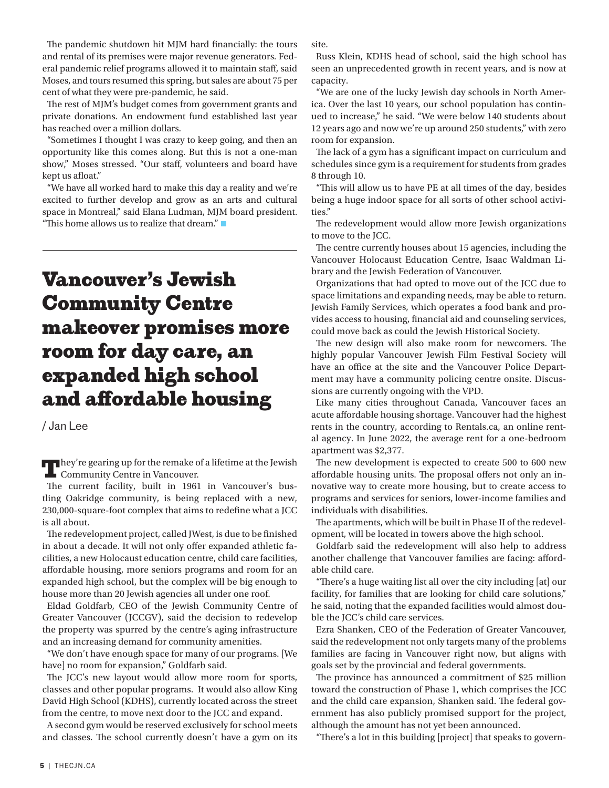The pandemic shutdown hit MJM hard financially: the tours and rental of its premises were major revenue generators. Federal pandemic relief programs allowed it to maintain staff, said Moses, and tours resumed this spring, but sales are about 75 per cent of what they were pre-pandemic, he said.

The rest of MJM's budget comes from government grants and private donations. An endowment fund established last year has reached over a million dollars.

"Sometimes I thought I was crazy to keep going, and then an opportunity like this comes along. But this is not a one-man show," Moses stressed. "Our staff, volunteers and board have kept us afloat."

"We have all worked hard to make this day a reality and we're excited to further develop and grow as an arts and cultural space in Montreal," said Elana Ludman, MJM board president. "This home allows us to realize that dream."

### Vancouver's Jewish Community Centre makeover promises more room for day care, an expanded high school and affordable housing

/ Jan Lee

They're gearing up for the remake of a lifetime at the Jewish Community Centre in Vancouver.

The current facility, built in 1961 in Vancouver's bustling Oakridge community, is being replaced with a new, 230,000-square-foot complex that aims to redefine what a JCC is all about.

The redevelopment project, called JWest, is due to be finished in about a decade. It will not only offer expanded athletic facilities, a new Holocaust education centre, child care facilities, affordable housing, more seniors programs and room for an expanded high school, but the complex will be big enough to house more than 20 Jewish agencies all under one roof.

Eldad Goldfarb, CEO of the Jewish Community Centre of Greater Vancouver (JCCGV), said the decision to redevelop the property was spurred by the centre's aging infrastructure and an increasing demand for community amenities.

"We don't have enough space for many of our programs. [We have] no room for expansion," Goldfarb said.

The JCC's new layout would allow more room for sports, classes and other popular programs. It would also allow King David High School (KDHS), currently located across the street from the centre, to move next door to the JCC and expand.

A second gym would be reserved exclusively for school meets and classes. The school currently doesn't have a gym on its site.

Russ Klein, KDHS head of school, said the high school has seen an unprecedented growth in recent years, and is now at capacity.

"We are one of the lucky Jewish day schools in North America. Over the last 10 years, our school population has continued to increase," he said. "We were below 140 students about 12 years ago and now we're up around 250 students," with zero room for expansion.

The lack of a gym has a significant impact on curriculum and schedules since gym is a requirement for students from grades 8 through 10.

"This will allow us to have PE at all times of the day, besides being a huge indoor space for all sorts of other school activities."

The redevelopment would allow more Jewish organizations to move to the JCC.

The centre currently houses about 15 agencies, including the Vancouver Holocaust Education Centre, Isaac Waldman Library and the Jewish Federation of Vancouver.

Organizations that had opted to move out of the JCC due to space limitations and expanding needs, may be able to return. Jewish Family Services, which operates a food bank and provides access to housing, financial aid and counseling services, could move back as could the Jewish Historical Society.

The new design will also make room for newcomers. The highly popular Vancouver Jewish Film Festival Society will have an office at the site and the Vancouver Police Department may have a community policing centre onsite. Discussions are currently ongoing with the VPD.

Like many cities throughout Canada, Vancouver faces an acute affordable housing shortage. Vancouver had the highest rents in the country, according to Rentals.ca, an online rental agency. In June 2022, the average rent for a one-bedroom apartment was \$2,377.

The new development is expected to create 500 to 600 new affordable housing units. The proposal offers not only an innovative way to create more housing, but to create access to programs and services for seniors, lower-income families and individuals with disabilities.

The apartments, which will be built in Phase II of the redevelopment, will be located in towers above the high school.

Goldfarb said the redevelopment will also help to address another challenge that Vancouver families are facing: affordable child care.

"There's a huge waiting list all over the city including [at] our facility, for families that are looking for child care solutions," he said, noting that the expanded facilities would almost double the JCC's child care services.

Ezra Shanken, CEO of the Federation of Greater Vancouver, said the redevelopment not only targets many of the problems families are facing in Vancouver right now, but aligns with goals set by the provincial and federal governments.

The province has announced a commitment of \$25 million toward the construction of Phase 1, which comprises the JCC and the child care expansion, Shanken said. The federal government has also publicly promised support for the project, although the amount has not yet been announced.

"There's a lot in this building [project] that speaks to govern-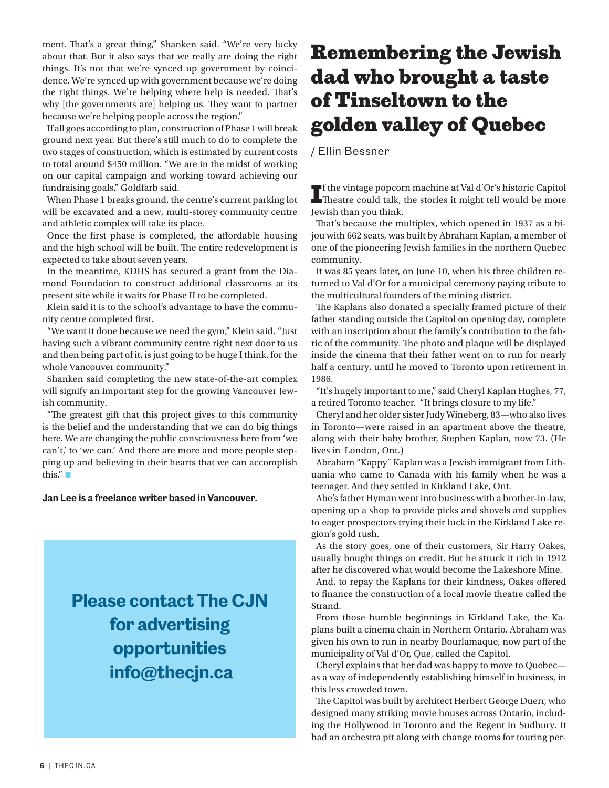ment. That's a great thing," Shanken said. "We're very lucky about that. But it also says that we really are doing the right things. It's not that we're synced up government by coincidence. We're synced up with government because we're doing the right things. We're helping where help is needed. That's why [the governments are] helping us. They want to partner because we're helping people across the region."

If all goes according to plan, construction of Phase 1 will break ground next year. But there's still much to do to complete the two stages of construction, which is estimated by current costs to total around \$450 million. "We are in the midst of working on our capital campaign and working toward achieving our fundraising goals," Goldfarb said.

When Phase 1 breaks ground, the centre's current parking lot will be excavated and a new, multi-storey community centre and athletic complex will take its place.

Once the first phase is completed, the affordable housing and the high school will be built. The entire redevelopment is expected to take about seven years.

In the meantime, KDHS has secured a grant from the Diamond Foundation to construct additional classrooms at its present site while it waits for Phase II to be completed.

Klein said it is to the school's advantage to have the community centre completed first.

"We want it done because we need the gym," Klein said. "Just having such a vibrant community centre right next door to us and then being part of it, is just going to be huge I think, for the whole Vancouver community."

Shanken said completing the new state-of-the-art complex will signify an important step for the growing Vancouver Jewish community.

"The greatest gift that this project gives to this community is the belief and the understanding that we can do big things here. We are changing the public consciousness here from 'we can't,' to 'we can.' And there are more and more people stepping up and believing in their hearts that we can accomplish this." $\blacksquare$ 

**Jan Lee is a freelance writer based in Vancouver.**

**Please contact The CJN for advertising opportunities info@thecjn.ca**

## Remembering the Jewish dad who brought a taste of Tinseltown to the golden valley of Quebec

/ Ellin Bessner

I f the vintage popcorn machine at Val d'Or's historic Capitol Theatre could talk, the stories it might tell would be more Jewish than you think.

That's because the multiplex, which opened in 1937 as a bijou with 662 seats, was built by Abraham Kaplan, a member of one of the pioneering Jewish families in the northern Quebec community.

It was 85 years later, on June 10, when his three children returned to Val d'Or for a municipal ceremony paying tribute to the multicultural founders of the mining district.

The Kaplans also donated a specially framed picture of their father standing outside the Capitol on opening day, complete with an inscription about the family's contribution to the fabric of the community. The photo and plaque will be displayed inside the cinema that their father went on to run for nearly half a century, until he moved to Toronto upon retirement in 1986.

"It's hugely important to me," said Cheryl Kaplan Hughes, 77, a retired Toronto teacher. "It brings closure to my life."

Cheryl and her older sister Judy Wineberg, 83—who also lives in Toronto—were raised in an apartment above the theatre, along with their baby brother, Stephen Kaplan, now 73. (He lives in London, Ont.)

Abraham "Kappy" Kaplan was a Jewish immigrant from Lithuania who came to Canada with his family when he was a teenager. And they settled in Kirkland Lake, Ont.

Abe's father Hyman went into business with a brother-in-law, opening up a shop to provide picks and shovels and supplies to eager prospectors trying their luck in the Kirkland Lake region's gold rush.

As the story goes, one of their customers, Sir Harry Oakes, usually bought things on credit. But he struck it rich in 1912 after he discovered what would become the Lakeshore Mine.

And, to repay the Kaplans for their kindness, Oakes offered to finance the construction of a local movie theatre called the Strand.

From those humble beginnings in Kirkland Lake, the Kaplans built a cinema chain in Northern Ontario. Abraham was given his own to run in nearby Bourlamaque, now part of the municipality of Val d'Or, Que, called the Capitol.

Cheryl explains that her dad was happy to move to Quebec as a way of independently establishing himself in business, in this less crowded town.

The Capitol was built by architect Herbert George Duerr, who designed many striking movie houses across Ontario, including the Hollywood in Toronto and the Regent in Sudbury. It had an orchestra pit along with change rooms for touring per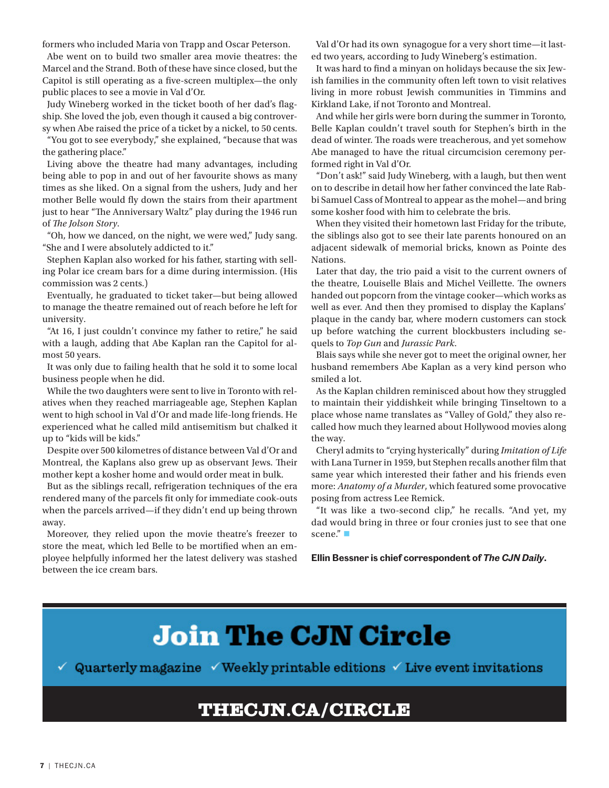formers who included Maria von Trapp and Oscar Peterson.

Abe went on to build two smaller area movie theatres: the Marcel and the Strand. Both of these have since closed, but the Capitol is still operating as a five-screen multiplex—the only public places to see a movie in Val d'Or.

Judy Wineberg worked in the ticket booth of her dad's flagship. She loved the job, even though it caused a big controversy when Abe raised the price of a ticket by a nickel, to 50 cents.

"You got to see everybody," she explained, "because that was the gathering place."

Living above the theatre had many advantages, including being able to pop in and out of her favourite shows as many times as she liked. On a signal from the ushers, Judy and her mother Belle would fly down the stairs from their apartment just to hear "The Anniversary Waltz" play during the 1946 run of *The Jolson Story*.

"Oh, how we danced, on the night, we were wed," Judy sang. "She and I were absolutely addicted to it."

Stephen Kaplan also worked for his father, starting with selling Polar ice cream bars for a dime during intermission. (His commission was 2 cents.)

Eventually, he graduated to ticket taker—but being allowed to manage the theatre remained out of reach before he left for university.

"At 16, I just couldn't convince my father to retire," he said with a laugh, adding that Abe Kaplan ran the Capitol for almost 50 years.

It was only due to failing health that he sold it to some local business people when he did.

While the two daughters were sent to live in Toronto with relatives when they reached marriageable age, Stephen Kaplan went to high school in Val d'Or and made life-long friends. He experienced what he called mild antisemitism but chalked it up to "kids will be kids."

Despite over 500 kilometres of distance between Val d'Or and Montreal, the Kaplans also grew up as observant Jews. Their mother kept a kosher home and would order meat in bulk.

But as the siblings recall, refrigeration techniques of the era rendered many of the parcels fit only for immediate cook-outs when the parcels arrived—if they didn't end up being thrown away.

Moreover, they relied upon the movie theatre's freezer to store the meat, which led Belle to be mortified when an employee helpfully informed her the latest delivery was stashed between the ice cream bars.

Val d'Or had its own synagogue for a very short time—it lasted two years, according to Judy Wineberg's estimation.

It was hard to find a minyan on holidays because the six Jewish families in the community often left town to visit relatives living in more robust Jewish communities in Timmins and Kirkland Lake, if not Toronto and Montreal.

And while her girls were born during the summer in Toronto, Belle Kaplan couldn't travel south for Stephen's birth in the dead of winter. The roads were treacherous, and yet somehow Abe managed to have the ritual circumcision ceremony performed right in Val d'Or.

"Don't ask!" said Judy Wineberg, with a laugh, but then went on to describe in detail how her father convinced the late Rabbi Samuel Cass of Montreal to appear as the mohel—and bring some kosher food with him to celebrate the bris.

When they visited their hometown last Friday for the tribute, the siblings also got to see their late parents honoured on an adjacent sidewalk of memorial bricks, known as Pointe des Nations.

Later that day, the trio paid a visit to the current owners of the theatre, Louiselle Blais and Michel Veillette. The owners handed out popcorn from the vintage cooker—which works as well as ever. And then they promised to display the Kaplans' plaque in the candy bar, where modern customers can stock up before watching the current blockbusters including sequels to *Top Gun* and *Jurassic Park*.

Blais says while she never got to meet the original owner, her husband remembers Abe Kaplan as a very kind person who smiled a lot.

As the Kaplan children reminisced about how they struggled to maintain their yiddishkeit while bringing Tinseltown to a place whose name translates as "Valley of Gold," they also recalled how much they learned about Hollywood movies along the way.

Cheryl admits to "crying hysterically" during *Imitation of Life* with Lana Turner in 1959, but Stephen recalls another film that same year which interested their father and his friends even more: *Anatomy of a Murder*, which featured some provocative posing from actress Lee Remick.

"It was like a two-second clip," he recalls. "And yet, my dad would bring in three or four cronies just to see that one scene." $\blacksquare$ 

**Ellin Bessner is chief correspondent of** *The CJN Daily***.**

## **Join The CJN Circle**

Quarterly magazine  $\checkmark$  Weekly printable editions  $\checkmark$  Live event invitations ✓

#### THECJN.CA/CIRCLE